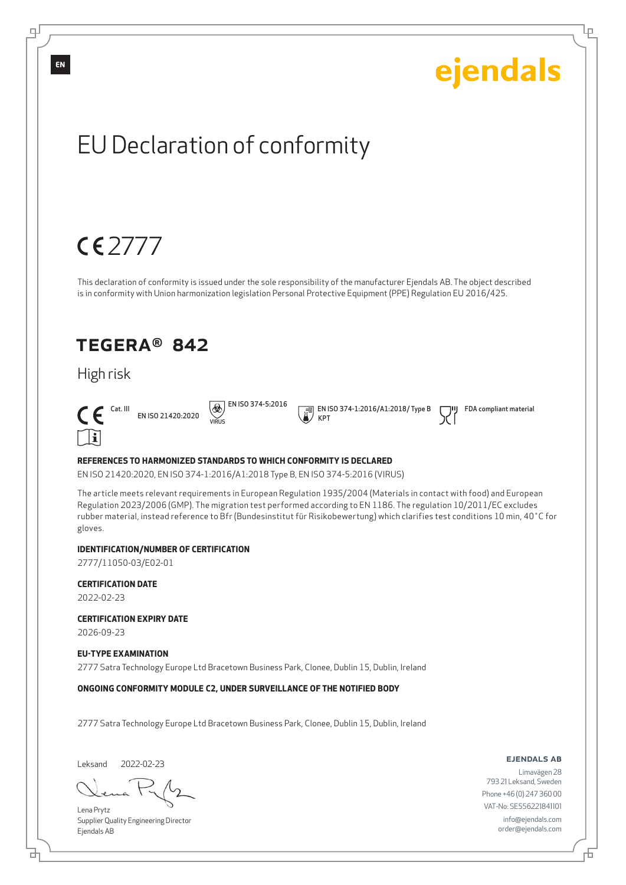## ejendals EU Declaration of conformity 2777 This declaration of conformity is issued under the sole responsibility of the manufacturer Ejendals AB. The object described is in conformity with Union harmonization legislation Personal Protective Equipment (PPE) Regulation EU 2016/425. TEGERA® 842 High risk  $\Theta$  EN ISO 374-5:2016 EN ISO 374-1:2016/A1:2018/ Type B  $\boldsymbol{\epsilon}$  Cat. III FDA compliant material EN ISO 21420:2020 KPT VIRUS  $\Box$ i **REFERENCES TO HARMONIZED STANDARDS TO WHICH CONFORMITY IS DECLARED** EN ISO 21420:2020, EN ISO 374-1:2016/A1:2018 Type B, EN ISO 374-5:2016 (VIRUS) The article meets relevant requirements in European Regulation 1935/2004 (Materials in contact with food) and European Regulation 2023/2006 (GMP). The migration test performed according to EN 1186. The regulation 10/2011/EC excludes rubber material, instead reference to Bfr (Bundesinstitut für Risikobewertung) which clarifies test conditions 10 min, 40˚C for gloves.

#### **IDENTIFICATION/NUMBER OF CERTIFICATION**

2777/11050-03/E02-01

**CERTIFICATION DATE**

2022-02-23

**CERTIFICATION EXPIRY DATE**

2026-09-23

#### **EU-TYPE EXAMINATION**

2777 Satra Technology Europe Ltd Bracetown Business Park, Clonee, Dublin 15, Dublin, Ireland

**ONGOING CONFORMITY MODULE C2, UNDER SURVEILLANCE OF THE NOTIFIED BODY**

2777 Satra Technology Europe Ltd Bracetown Business Park, Clonee, Dublin 15, Dublin, Ireland

Leksand 2022-02-23

브

Lena Prytz Supplier Quality Engineering Director Ejendals AB

ejendals ab

Limavägen 28 793 21 Leksand, Sweden Phone +46 (0) 247 360 00 VAT-No: SE556221841101 info@ejendals.com order@ejendals.com

**EN**

டி

Lр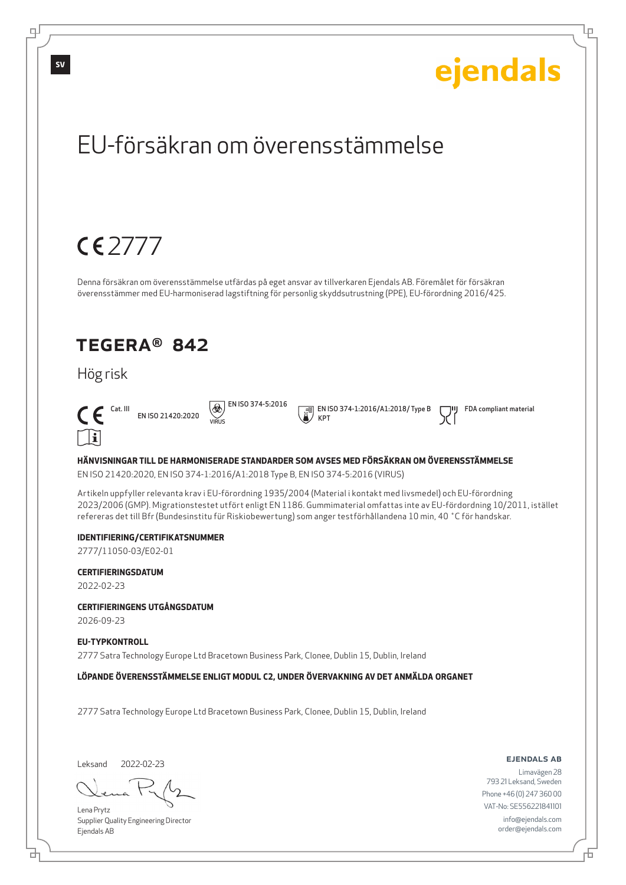### ejendals **SV**EU-försäkran om överensstämmelse 2777 Denna försäkran om överensstämmelse utfärdas på eget ansvar av tillverkaren Ejendals AB. Föremålet för försäkran överensstämmer med EU-harmoniserad lagstiftning för personlig skyddsutrustning (PPE), EU-förordning 2016/425. TEGERA® 842 Hög risk  $\circledR$  EN ISO 374-5:2016 EN ISO 374-1:2016/A1:2018/ Type B FDA compliant material  $\epsilon$ EN ISO 21420:2020 KPT VIRUS  $\Box$ il **HÄNVISNINGAR TILL DE HARMONISERADE STANDARDER SOM AVSES MED FÖRSÄKRAN OM ÖVERENSSTÄMMELSE** EN ISO 21420:2020, EN ISO 374-1:2016/A1:2018 Type B, EN ISO 374-5:2016 (VIRUS) Artikeln uppfyller relevanta krav i EU-förordning 1935/2004 (Material i kontakt med livsmedel) och EU-förordning 2023/2006 (GMP). Migrationstestet utfört enligt EN 1186. Gummimaterial omfattas inte av EU-fördordning 10/2011, istället refereras det till Bfr (Bundesinstitu für Riskiobewertung) som anger testförhållandena 10 min, 40 ˚C för handskar. **IDENTIFIERING/CERTIFIKATSNUMMER** 2777/11050-03/E02-01 **CERTIFIERINGSDATUM** 2022-02-23 **CERTIFIERINGENS UTGÅNGSDATUM** 2026-09-23 **EU-TYPKONTROLL** 2777 Satra Technology Europe Ltd Bracetown Business Park, Clonee, Dublin 15, Dublin, Ireland

**LÖPANDE ÖVERENSSTÄMMELSE ENLIGT MODUL C2, UNDER ÖVERVAKNING AV DET ANMÄLDA ORGANET**

2777 Satra Technology Europe Ltd Bracetown Business Park, Clonee, Dublin 15, Dublin, Ireland

Leksand 2022-02-23

브

டி

Lena Prytz Supplier Quality Engineering Director Ejendals AB

ejendals ab

Б

Lр

Limavägen 28 793 21 Leksand, Sweden Phone +46 (0) 247 360 00 VAT-No: SE556221841101 info@ejendals.com order@ejendals.com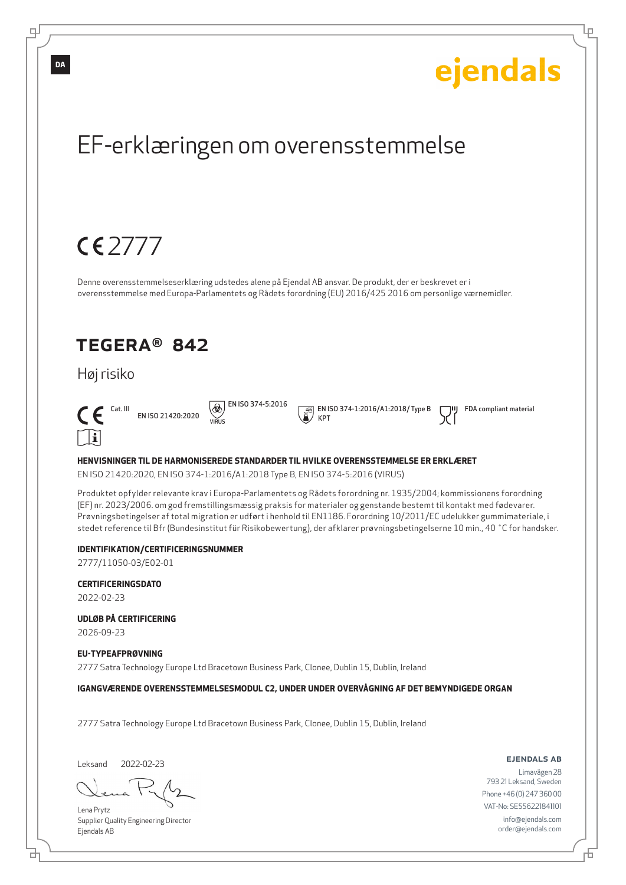### ejendals **DA**EF-erklæringen om overensstemmelse 2777 Denne overensstemmelseserklæring udstedes alene på Ejendal AB ansvar. De produkt, der er beskrevet er i overensstemmelse med Europa-Parlamentets og Rådets forordning (EU) 2016/425 2016 om personlige værnemidler. TEGERA® 842 Høj risiko  $\Theta$  EN ISO 374-5:2016 EN ISO 374-1:2016/A1:2018/ Type B FDA compliant material  $\epsilon$ EN ISO 21420:2020 KPT VIRUS  $\Box$ i **HENVISNINGER TIL DE HARMONISEREDE STANDARDER TIL HVILKE OVERENSSTEMMELSE ER ERKLÆRET** EN ISO 21420:2020, EN ISO 374-1:2016/A1:2018 Type B, EN ISO 374-5:2016 (VIRUS) Produktet opfylder relevante krav i Europa-Parlamentets og Rådets forordning nr. 1935/2004; kommissionens forordning (EF) nr. 2023/2006. om god fremstillingsmæssig praksis for materialer og genstande bestemt til kontakt med fødevarer. Prøvningsbetingelser af total migration er udført i henhold til EN1186. Forordning 10/2011/EC udelukker gummimateriale, i stedet reference til Bfr (Bundesinstitut für Risikobewertung), der afklarer prøvningsbetingelserne 10 min., 40 ˚C for handsker. **IDENTIFIKATION/CERTIFICERINGSNUMMER** 2777/11050-03/E02-01 **CERTIFICERINGSDATO** 2022-02-23

**UDLØB PÅ CERTIFICERING**

2026-09-23

ᆗ

**EU-TYPEAFPRØVNING**

2777 Satra Technology Europe Ltd Bracetown Business Park, Clonee, Dublin 15, Dublin, Ireland

**IGANGVÆRENDE OVERENSSTEMMELSESMODUL C2, UNDER UNDER OVERVÅGNING AF DET BEMYNDIGEDE ORGAN**

2777 Satra Technology Europe Ltd Bracetown Business Park, Clonee, Dublin 15, Dublin, Ireland

Leksand 2022-02-23

б

Lena Prytz Supplier Quality Engineering Director Ejendals AB

ejendals ab

Lр

Limavägen 28 793 21 Leksand, Sweden Phone +46 (0) 247 360 00 VAT-No: SE556221841101 info@ejendals.com order@ejendals.com

Б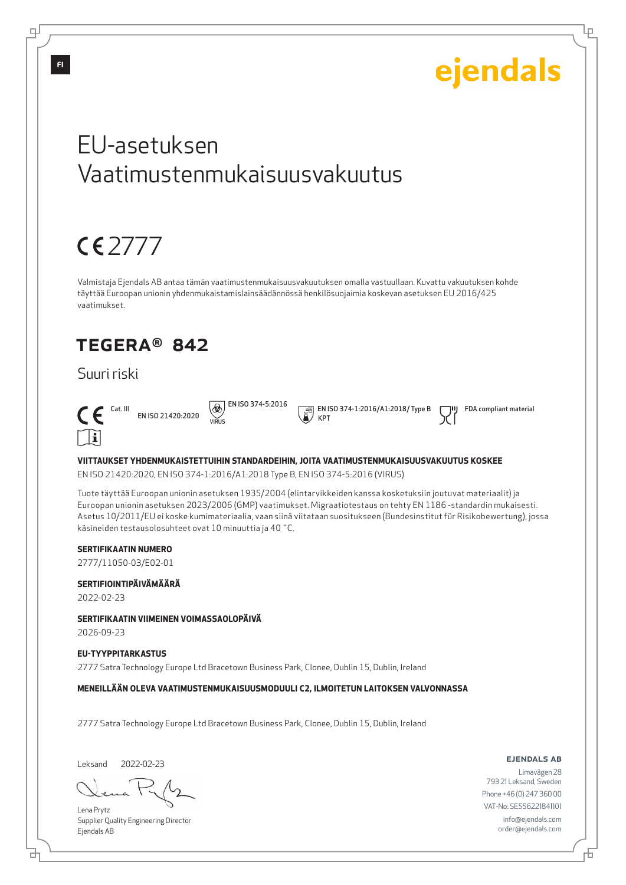Lр

## EU-asetuksen Vaatimustenmukaisuusvakuutus

## $CE$

Valmistaja Ejendals AB antaa tämän vaatimustenmukaisuusvakuutuksen omalla vastuullaan. Kuvattu vakuutuksen kohde täyttää Euroopan unionin yhdenmukaistamislainsäädännössä henkilösuojaimia koskevan asetuksen EU 2016/425 vaatimukset.

### TEGERA® 842

### Suuri riski



EN ISO 21420:2020 VIRUS

 $\Theta$  EN ISO 374-5:2016

 EN ISO 374-1:2016/A1:2018/ Type B KPT

FDA compliant material

#### **VIITTAUKSET YHDENMUKAISTETTUIHIN STANDARDEIHIN, JOITA VAATIMUSTENMUKAISUUSVAKUUTUS KOSKEE**

EN ISO 21420:2020, EN ISO 374-1:2016/A1:2018 Type B, EN ISO 374-5:2016 (VIRUS)

Tuote täyttää Euroopan unionin asetuksen 1935/2004 (elintarvikkeiden kanssa kosketuksiin joutuvat materiaalit) ja Euroopan unionin asetuksen 2023/2006 (GMP) vaatimukset. Migraatiotestaus on tehty EN 1186 -standardin mukaisesti. Asetus 10/2011/EU ei koske kumimateriaalia, vaan siinä viitataan suositukseen (Bundesinstitut für Risikobewertung), jossa käsineiden testausolosuhteet ovat 10 minuuttia ja 40 ˚C.

#### **SERTIFIKAATIN NUMERO**

2777/11050-03/E02-01

#### **SERTIFIOINTIPÄIVÄMÄÄRÄ**

2022-02-23

#### **SERTIFIKAATIN VIIMEINEN VOIMASSAOLOPÄIVÄ**

2026-09-23

#### **EU-TYYPPITARKASTUS**

2777 Satra Technology Europe Ltd Bracetown Business Park, Clonee, Dublin 15, Dublin, Ireland

#### **MENEILLÄÄN OLEVA VAATIMUSTENMUKAISUUSMODUULI C2, ILMOITETUN LAITOKSEN VALVONNASSA**

2777 Satra Technology Europe Ltd Bracetown Business Park, Clonee, Dublin 15, Dublin, Ireland

Leksand 2022-02-23

Lena Prytz Supplier Quality Engineering Director Ejendals AB

ejendals ab

Limavägen 28 793 21 Leksand, Sweden Phone +46 (0) 247 360 00 VAT-No: SE556221841101 info@ejendals.com order@ejendals.com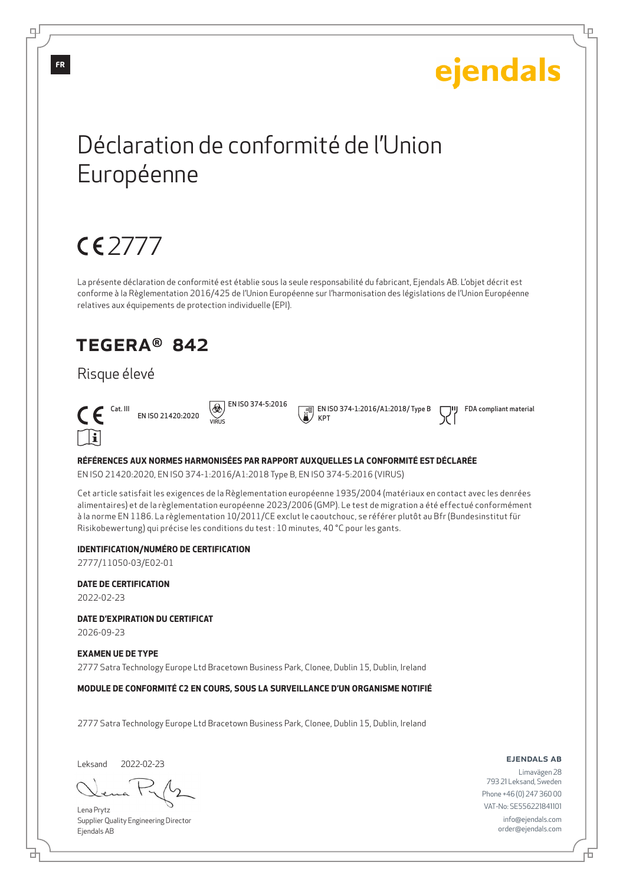Lр

## Déclaration de conformité de l'Union Européenne

## 2777

La présente déclaration de conformité est établie sous la seule responsabilité du fabricant, Ejendals AB. L'objet décrit est conforme à la Règlementation 2016/425 de l'Union Européenne sur l'harmonisation des législations de l'Union Européenne relatives aux équipements de protection individuelle (EPI).

### TEGERA® 842

### Risque élevé



EN ISO 21420:2020 VIRUS

 $\circledR$  EN ISO 374-5:2016

 EN ISO 374-1:2016/A1:2018/ Type B KPT

FDA compliant material

#### **RÉFÉRENCES AUX NORMES HARMONISÉES PAR RAPPORT AUXQUELLES LA CONFORMITÉ EST DÉCLARÉE**

EN ISO 21420:2020, EN ISO 374-1:2016/A1:2018 Type B, EN ISO 374-5:2016 (VIRUS)

Cet article satisfait les exigences de la Règlementation européenne 1935/2004 (matériaux en contact avec les denrées alimentaires) et de la règlementation européenne 2023/2006 (GMP). Le test de migration a été effectué conformément à la norme EN 1186. La règlementation 10/2011/CE exclut le caoutchouc, se référer plutôt au Bfr (Bundesinstitut für Risikobewertung) qui précise les conditions du test : 10 minutes, 40 °C pour les gants.

#### **IDENTIFICATION/NUMÉRO DE CERTIFICATION**

2777/11050-03/E02-01

#### **DATE DE CERTIFICATION**

2022-02-23

**DATE D'EXPIRATION DU CERTIFICAT**

2026-09-23

#### **EXAMEN UE DE TYPE**

2777 Satra Technology Europe Ltd Bracetown Business Park, Clonee, Dublin 15, Dublin, Ireland

**MODULE DE CONFORMITÉ C2 EN COURS, SOUS LA SURVEILLANCE D'UN ORGANISME NOTIFIÉ**

2777 Satra Technology Europe Ltd Bracetown Business Park, Clonee, Dublin 15, Dublin, Ireland

Leksand 2022-02-23

Lena Prytz Supplier Quality Engineering Director Ejendals AB

#### ejendals ab

Limavägen 28 793 21 Leksand, Sweden Phone +46 (0) 247 360 00 VAT-No: SE556221841101 info@ejendals.com order@ejendals.com

டி

**FR**

б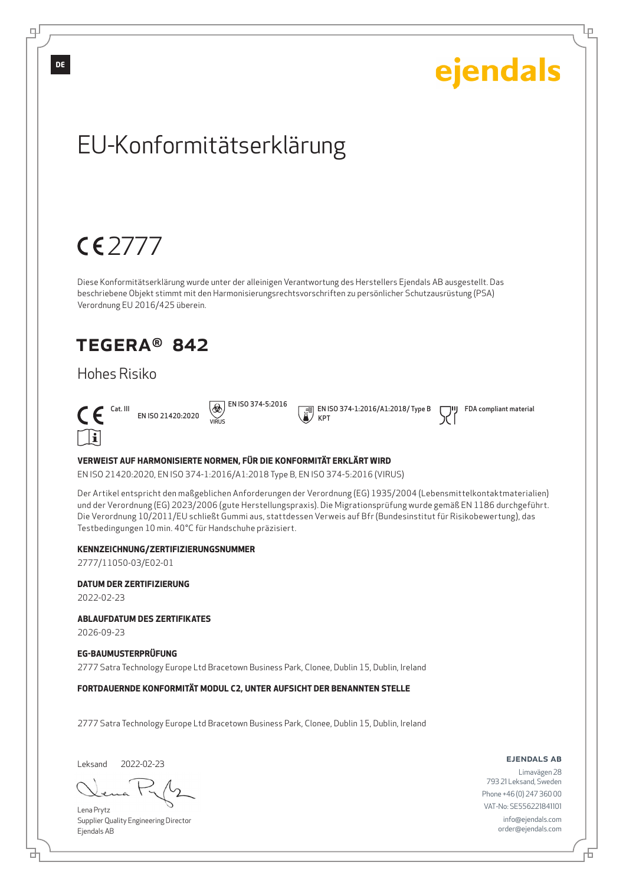## ejendals EU-Konformitätserklärung 2777 Diese Konformitätserklärung wurde unter der alleinigen Verantwortung des Herstellers Ejendals AB ausgestellt. Das beschriebene Objekt stimmt mit den Harmonisierungsrechtsvorschriften zu persönlicher Schutzausrüstung (PSA) Verordnung EU 2016/425 überein. TEGERA® 842 Hohes Risiko  $\circledR$  EN ISO 374-5:2016 EN ISO 374-1:2016/A1:2018/ Type B FDA compliant material  $\epsilon$ EN ISO 21420:2020 KPT VIRUS  $\mathsf{r}$ **VERWEIST AUF HARMONISIERTE NORMEN, FÜR DIE KONFORMITÄT ERKLÄRT WIRD** EN ISO 21420:2020, EN ISO 374-1:2016/A1:2018 Type B, EN ISO 374-5:2016 (VIRUS)

Der Artikel entspricht den maßgeblichen Anforderungen der Verordnung (EG) 1935/2004 (Lebensmittelkontaktmaterialien) und der Verordnung (EG) 2023/2006 (gute Herstellungspraxis). Die Migrationsprüfung wurde gemäß EN 1186 durchgeführt. Die Verordnung 10/2011/EU schließt Gummi aus, stattdessen Verweis auf Bfr (Bundesinstitut für Risikobewertung), das Testbedingungen 10 min. 40°C für Handschuhe präzisiert.

#### **KENNZEICHNUNG/ZERTIFIZIERUNGSNUMMER**

2777/11050-03/E02-01

#### **DATUM DER ZERTIFIZIERUNG**

2022-02-23

#### **ABLAUFDATUM DES ZERTIFIKATES**

2026-09-23

#### **EG-BAUMUSTERPRÜFUNG**

2777 Satra Technology Europe Ltd Bracetown Business Park, Clonee, Dublin 15, Dublin, Ireland

#### **FORTDAUERNDE KONFORMITÄT MODUL C2, UNTER AUFSICHT DER BENANNTEN STELLE**

2777 Satra Technology Europe Ltd Bracetown Business Park, Clonee, Dublin 15, Dublin, Ireland

Leksand 2022-02-23

브

Lena Prytz Supplier Quality Engineering Director Ejendals AB

#### ejendals ab

Limavägen 28 793 21 Leksand, Sweden Phone +46 (0) 247 360 00 VAT-No: SE556221841101 info@ejendals.com order@ejendals.com

**DE**

டி

Lр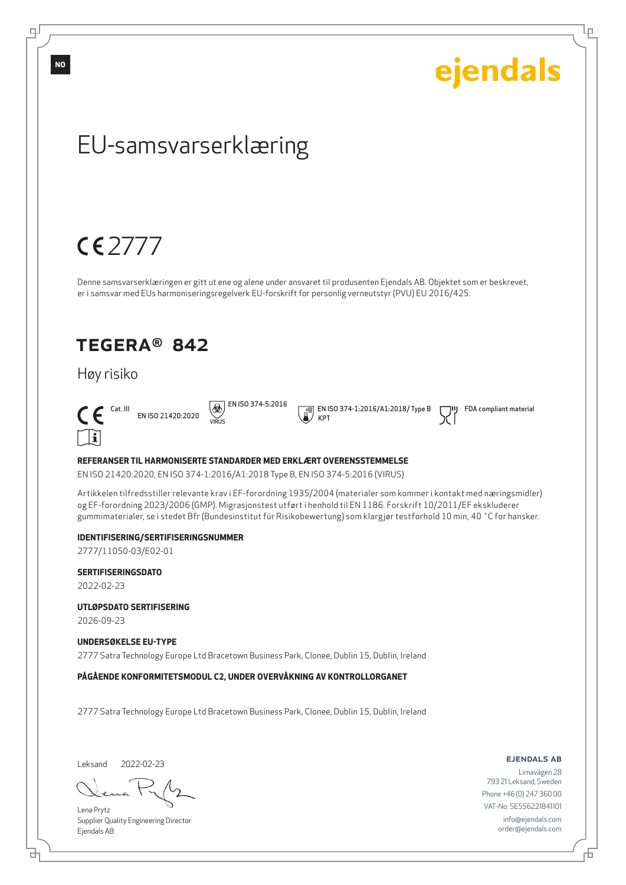

Leksand 2022-02-23

브

∓

Lena Prytz Supplier Quality Engineering Director Ejendals AB

ejendals ab

Limavägen 28 793 21 Leksand, Sweden Phone +46 (0) 247 360 00 VAT-No: SE556221841101 info@ejendals.com order@ejendals.com

Б

Lр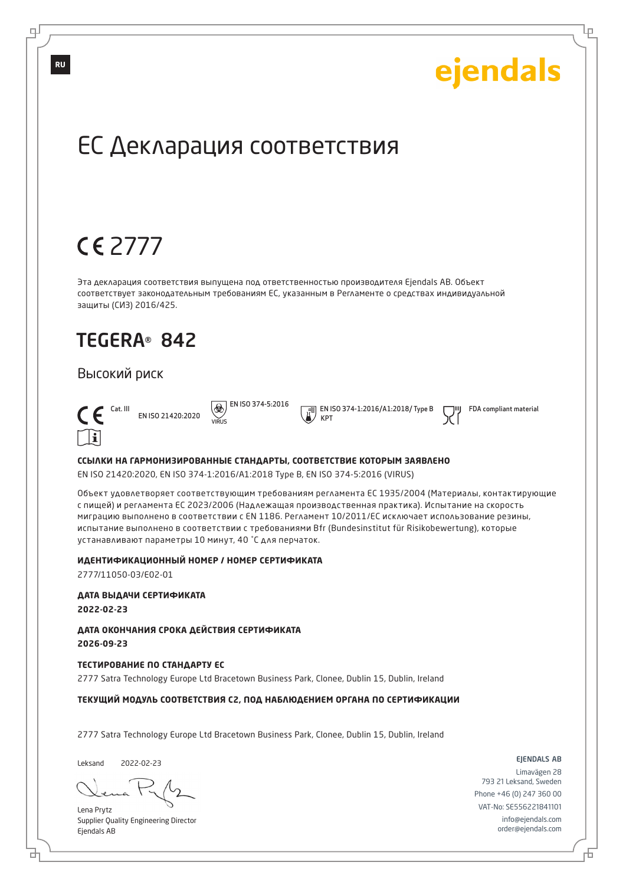Lр

## ЕС Декларация соответствия

## 2777

Эта декларация соответствия выпущена под ответственностью производителя Ejendals AB. Объект соответствует законодательным требованиям ЕС, указанным в Регламенте о средствах индивидуальной защиты (СИЗ) 2016/425.

### TEGERA® 842

#### Высокий риск



EN ISO 21420:2020 VIRUS

 $\overline{\bigcircledast}$  EN ISO 374-5:2016 KPT

EN ISO 374-1:2016/A1:2018/ Type B

FDA compliant material

#### **ССЫЛКИ НА ГАРМОНИЗИРОВАННЫЕ СТАНДАРТЫ, СООТВЕТСТВИЕ КОТОРЫМ ЗАЯВЛЕНО**

EN ISO 21420:2020, EN ISO 374-1:2016/A1:2018 Type B, EN ISO 374-5:2016 (VIRUS)

Объект удовлетворяет соответствующим требованиям регламента ЕС 1935/2004 (Материалы, контактирующие с пищей) и регламента ЕС 2023/2006 (Надлежащая производственная практика). Испытание на скорость миграцию выполнено в соответствии с EN 1186. Регламент 10/2011/EC исключает использование резины, испытание выполнено в соответствии с требованиями Bfr (Bundesinstitut für Risikobewertung), которые устанавливают параметры 10 минут, 40 ˚C для перчаток.

#### **ИДЕНТИФИКАЦИОННЫЙ НОМЕР / НОМЕР СЕРТИФИКАТА**

2777/11050-03/E02-01

**ДАТА ВЫДАЧИ СЕРТИФИКАТА**

**2022-02-23**

**ДАТА ОКОНЧАНИЯ СРОКА ДЕЙСТВИЯ СЕРТИФИКАТА 2026-09-23**

#### **ТЕСТИРОВАНИЕ ПО СТАНДАРТУ ЕС**

2777 Satra Technology Europe Ltd Bracetown Business Park, Clonee, Dublin 15, Dublin, Ireland

#### **ТЕКУЩИЙ МОДУЛЬ СООТВЕТСТВИЯ C2, ПОД НАБЛЮДЕНИЕМ ОРГАНА ПО СЕРТИФИКАЦИИ**

2777 Satra Technology Europe Ltd Bracetown Business Park, Clonee, Dublin 15, Dublin, Ireland

Leksand 2022-02-23

б

Lena Prytz Supplier Quality Engineering Director Ejendals AB

#### ejendals ab

Б

Limavägen 28 793 21 Leksand, Sweden Phone +46 (0) 247 360 00 VAT-No: SE556221841101 info@ejendals.com order@ejendals.com

**RU**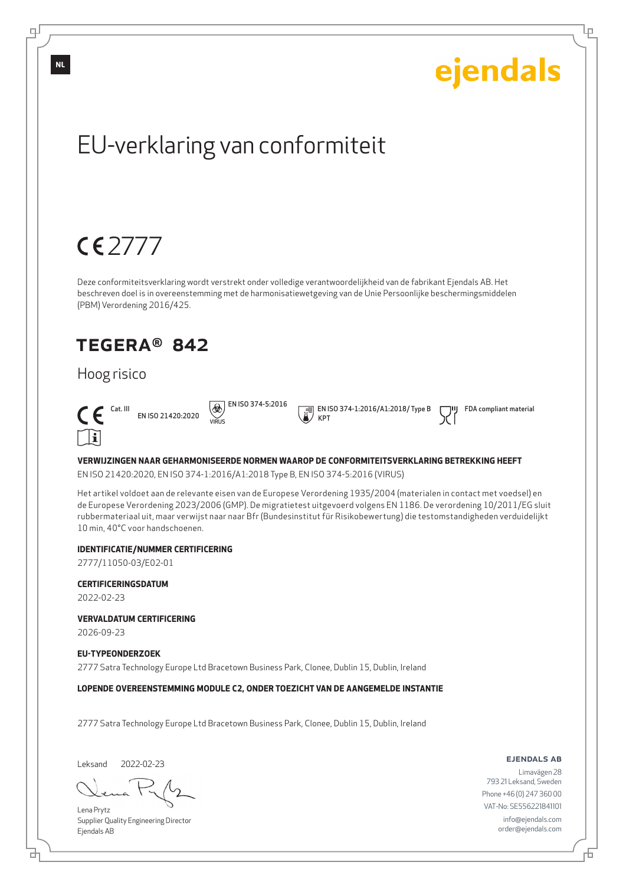Lр

## EU-verklaring van conformiteit

## 2777

Deze conformiteitsverklaring wordt verstrekt onder volledige verantwoordelijkheid van de fabrikant Ejendals AB. Het beschreven doel is in overeenstemming met de harmonisatiewetgeving van de Unie Persoonlijke beschermingsmiddelen (PBM) Verordening 2016/425.

### TEGERA® 842

### Hoog risico



EN ISO 21420:2020 VIRUS

 $\Theta$  EN ISO 374-5:2016

 EN ISO 374-1:2016/A1:2018/ Type B KPT

FDA compliant material

#### **VERWIJZINGEN NAAR GEHARMONISEERDE NORMEN WAAROP DE CONFORMITEITSVERKLARING BETREKKING HEEFT**

EN ISO 21420:2020, EN ISO 374-1:2016/A1:2018 Type B, EN ISO 374-5:2016 (VIRUS)

Het artikel voldoet aan de relevante eisen van de Europese Verordening 1935/2004 (materialen in contact met voedsel) en de Europese Verordening 2023/2006 (GMP). De migratietest uitgevoerd volgens EN 1186. De verordening 10/2011/EG sluit rubbermateriaal uit, maar verwijst naar naar Bfr (Bundesinstitut für Risikobewertung) die testomstandigheden verduidelijkt 10 min, 40°C voor handschoenen.

#### **IDENTIFICATIE/NUMMER CERTIFICERING**

2777/11050-03/E02-01

#### **CERTIFICERINGSDATUM**

2022-02-23

**VERVALDATUM CERTIFICERING**

2026-09-23

#### **EU-TYPEONDERZOEK**

2777 Satra Technology Europe Ltd Bracetown Business Park, Clonee, Dublin 15, Dublin, Ireland

**LOPENDE OVEREENSTEMMING MODULE C2, ONDER TOEZICHT VAN DE AANGEMELDE INSTANTIE**

2777 Satra Technology Europe Ltd Bracetown Business Park, Clonee, Dublin 15, Dublin, Ireland

Leksand 2022-02-23

브

Lena Prytz Supplier Quality Engineering Director Ejendals AB

#### ejendals ab

Б

Limavägen 28 793 21 Leksand, Sweden Phone +46 (0) 247 360 00 VAT-No: SE556221841101 info@ejendals.com order@ejendals.com

**NL**

ᆗ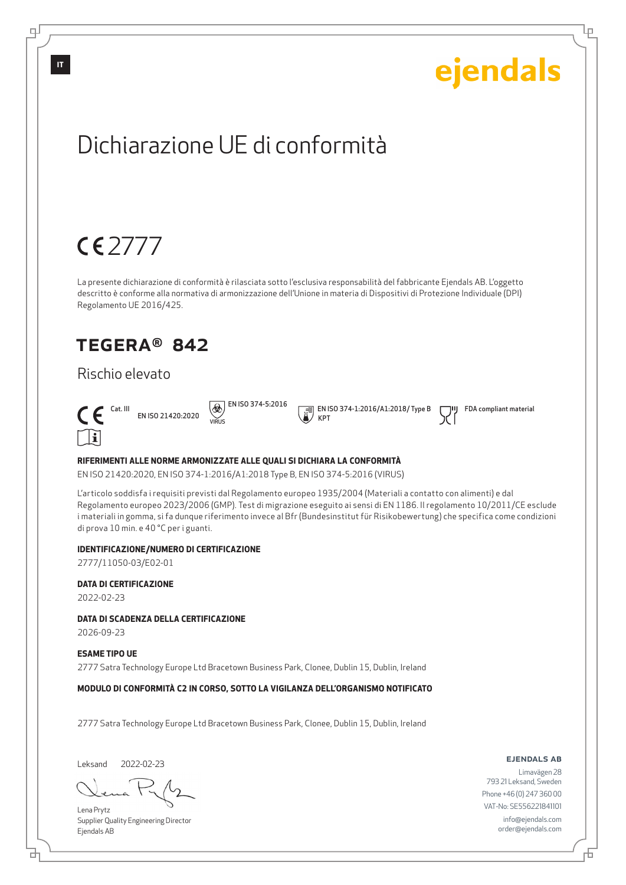## ejendals Dichiarazione UE di conformità  $CE$ La presente dichiarazione di conformità è rilasciata sotto l'esclusiva responsabilità del fabbricante Ejendals AB. L'oggetto descritto è conforme alla normativa di armonizzazione dell'Unione in materia di Dispositivi di Protezione Individuale (DPI) Regolamento UE 2016/425. TEGERA® 842 Rischio elevato  $\boxed{\bigcircledR}$  EN ISO 374-5:2016 EN ISO 374-1:2016/A1:2018/ Type B FDA compliant material  $\epsilon$ EN ISO 21420:2020 KPT VIRUS  $\lceil \cdot \rceil$ i **RIFERIMENTI ALLE NORME ARMONIZZATE ALLE QUALI SI DICHIARA LA CONFORMITÀ**

EN ISO 21420:2020, EN ISO 374-1:2016/A1:2018 Type B, EN ISO 374-5:2016 (VIRUS)

L'articolo soddisfa i requisiti previsti dal Regolamento europeo 1935/2004 (Materiali a contatto con alimenti) e dal Regolamento europeo 2023/2006 (GMP). Test di migrazione eseguito ai sensi di EN 1186. Il regolamento 10/2011/CE esclude i materiali in gomma, si fa dunque riferimento invece al Bfr (Bundesinstitut für Risikobewertung) che specifica come condizioni di prova 10 min. e 40 °C per i guanti.

#### **IDENTIFICAZIONE/NUMERO DI CERTIFICAZIONE**

2777/11050-03/E02-01

#### **DATA DI CERTIFICAZIONE**

2022-02-23

#### **DATA DI SCADENZA DELLA CERTIFICAZIONE**

2026-09-23

#### **ESAME TIPO UE**

2777 Satra Technology Europe Ltd Bracetown Business Park, Clonee, Dublin 15, Dublin, Ireland

#### **MODULO DI CONFORMITÀ C2 IN CORSO, SOTTO LA VIGILANZA DELL'ORGANISMO NOTIFICATO**

2777 Satra Technology Europe Ltd Bracetown Business Park, Clonee, Dublin 15, Dublin, Ireland

Leksand 2022-02-23

₫

Lena Prytz Supplier Quality Engineering Director Ejendals AB

ejendals ab

Б

Lр

Limavägen 28 793 21 Leksand, Sweden Phone +46 (0) 247 360 00 VAT-No: SE556221841101 info@ejendals.com order@ejendals.com

டி

**IT**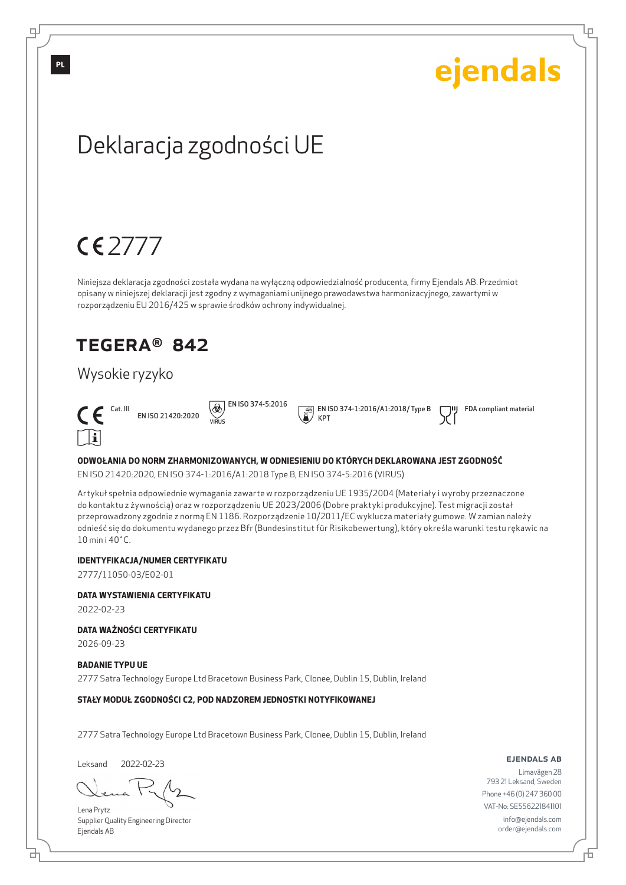Lр

## Deklaracja zgodności UE

## $CE$

Niniejsza deklaracja zgodności została wydana na wyłączną odpowiedzialność producenta, firmy Ejendals AB. Przedmiot opisany w niniejszej deklaracji jest zgodny z wymaganiami unijnego prawodawstwa harmonizacyjnego, zawartymi w rozporządzeniu EU 2016/425 w sprawie środków ochrony indywidualnej.

### TEGERA® 842

### Wysokie ryzyko



EN ISO 21420:2020 VIRUS

 $\circledR$  EN ISO 374-5:2016

 EN ISO 374-1:2016/A1:2018/ Type B KPT

FDA compliant material

#### **ODWOŁANIA DO NORM ZHARMONIZOWANYCH, W ODNIESIENIU DO KTÓRYCH DEKLAROWANA JEST ZGODNOŚĆ**

EN ISO 21420:2020, EN ISO 374-1:2016/A1:2018 Type B, EN ISO 374-5:2016 (VIRUS)

Artykuł spełnia odpowiednie wymagania zawarte w rozporządzeniu UE 1935/2004 (Materiały i wyroby przeznaczone do kontaktu z żywnością) oraz w rozporządzeniu UE 2023/2006 (Dobre praktyki produkcyjne). Test migracji został przeprowadzony zgodnie z normą EN 1186. Rozporządzenie 10/2011/EC wyklucza materiały gumowe. W zamian należy odnieść się do dokumentu wydanego przez Bfr (Bundesinstitut für Risikobewertung), który określa warunki testu rękawic na 10 min i 40˚C.

#### **IDENTYFIKACJA/NUMER CERTYFIKATU**

2777/11050-03/E02-01

#### **DATA WYSTAWIENIA CERTYFIKATU**

2022-02-23

#### **DATA WAŻNOŚCI CERTYFIKATU**

2026-09-23

#### **BADANIE TYPU UE**

2777 Satra Technology Europe Ltd Bracetown Business Park, Clonee, Dublin 15, Dublin, Ireland

#### **STAŁY MODUŁ ZGODNOŚCI C2, POD NADZOREM JEDNOSTKI NOTYFIKOWANEJ**

2777 Satra Technology Europe Ltd Bracetown Business Park, Clonee, Dublin 15, Dublin, Ireland

Leksand 2022-02-23

б

Lena Prytz Supplier Quality Engineering Director Ejendals AB

#### ejendals ab

Б

Limavägen 28 793 21 Leksand, Sweden Phone +46 (0) 247 360 00 VAT-No: SE556221841101 info@ejendals.com order@ejendals.com

**PL**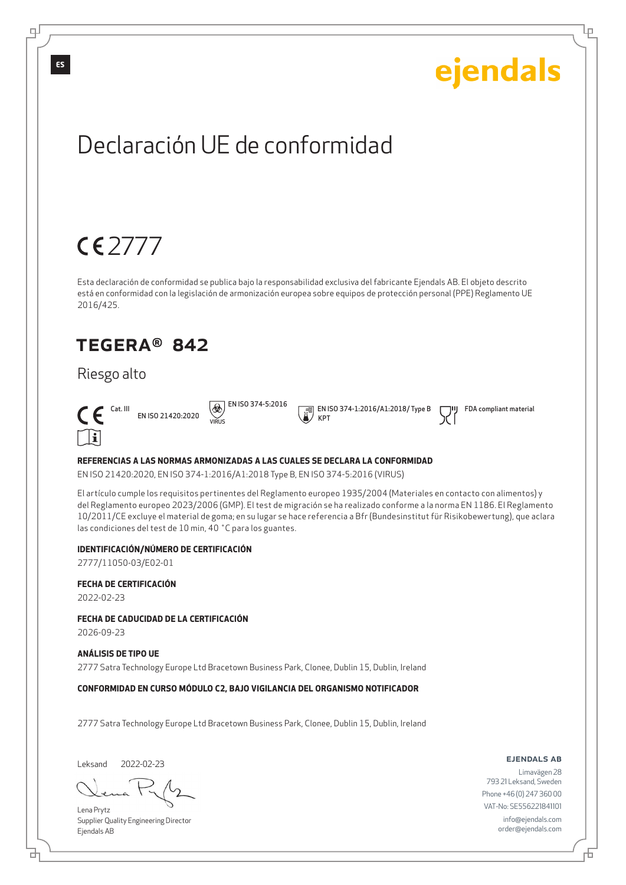Lр

## Declaración UE de conformidad

## 2777

Esta declaración de conformidad se publica bajo la responsabilidad exclusiva del fabricante Ejendals AB. El objeto descrito está en conformidad con la legislación de armonización europea sobre equipos de protección personal (PPE) Reglamento UE 2016/425.

### TEGERA® 842

### Riesgo alto



EN ISO 21420:2020  $\Theta$  EN ISO 374-5:2016 VIRUS

 EN ISO 374-1:2016/A1:2018/ Type B KPT

FDA compliant material

#### **REFERENCIAS A LAS NORMAS ARMONIZADAS A LAS CUALES SE DECLARA LA CONFORMIDAD**

EN ISO 21420:2020, EN ISO 374-1:2016/A1:2018 Type B, EN ISO 374-5:2016 (VIRUS)

El artículo cumple los requisitos pertinentes del Reglamento europeo 1935/2004 (Materiales en contacto con alimentos) y del Reglamento europeo 2023/2006 (GMP). El test de migración se ha realizado conforme a la norma EN 1186. El Reglamento 10/2011/CE excluye el material de goma; en su lugar se hace referencia a Bfr (Bundesinstitut für Risikobewertung), que aclara las condiciones del test de 10 min, 40 ˚C para los guantes.

#### **IDENTIFICACIÓN/NÚMERO DE CERTIFICACIÓN**

2777/11050-03/E02-01

#### **FECHA DE CERTIFICACIÓN**

2022-02-23

#### **FECHA DE CADUCIDAD DE LA CERTIFICACIÓN**

2026-09-23

#### **ANÁLISIS DE TIPO UE**

2777 Satra Technology Europe Ltd Bracetown Business Park, Clonee, Dublin 15, Dublin, Ireland

#### **CONFORMIDAD EN CURSO MÓDULO C2, BAJO VIGILANCIA DEL ORGANISMO NOTIFICADOR**

2777 Satra Technology Europe Ltd Bracetown Business Park, Clonee, Dublin 15, Dublin, Ireland

Leksand 2022-02-23

₫

Lena Prytz Supplier Quality Engineering Director Ejendals AB

#### ejendals ab

Б

Limavägen 28 793 21 Leksand, Sweden Phone +46 (0) 247 360 00 VAT-No: SE556221841101 info@ejendals.com order@ejendals.com

**ES**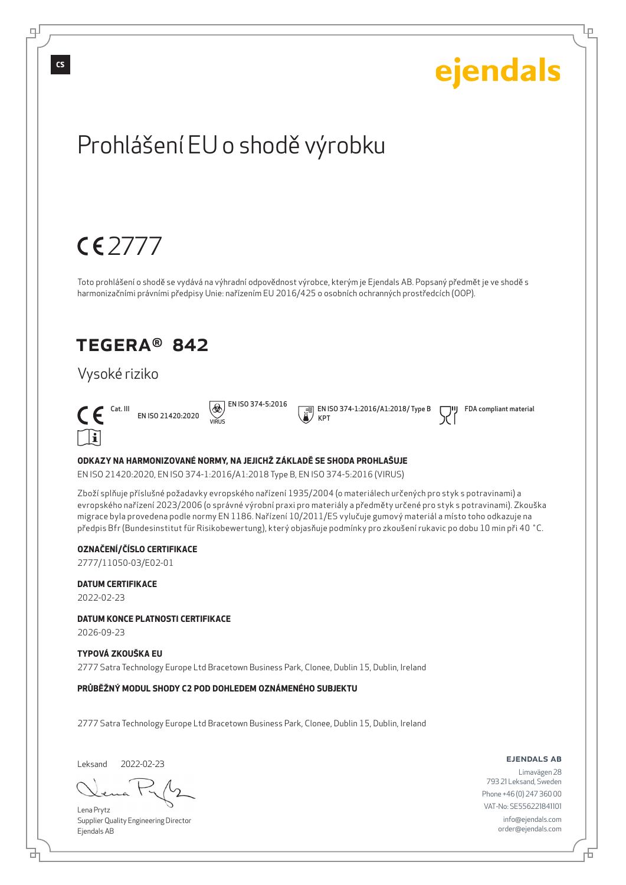Lр

## Prohlášení EU o shodě výrobku

## $CE$

Toto prohlášení o shodě se vydává na výhradní odpovědnost výrobce, kterým je Ejendals AB. Popsaný předmět je ve shodě s harmonizačními právními předpisy Unie: nařízením EU 2016/425 o osobních ochranných prostředcích (OOP).

### TEGERA® 842

### Vysoké riziko



EN ISO 21420:2020 VIRUS

 $\circledR$  EN ISO 374-5:2016

 EN ISO 374-1:2016/A1:2018/ Type B KPT

FDA compliant material

#### **ODKAZY NA HARMONIZOVANÉ NORMY, NA JEJICHŽ ZÁKLADĚ SE SHODA PROHLAŠUJE**

EN ISO 21420:2020, EN ISO 374-1:2016/A1:2018 Type B, EN ISO 374-5:2016 (VIRUS)

Zboží splňuje příslušné požadavky evropského nařízení 1935/2004 (o materiálech určených pro styk s potravinami) a evropského nařízení 2023/2006 (o správné výrobní praxi pro materiály a předměty určené pro styk s potravinami). Zkouška migrace byla provedena podle normy EN 1186. Nařízení 10/2011/ES vylučuje gumový materiál a místo toho odkazuje na předpis Bfr (Bundesinstitut für Risikobewertung), který objasňuje podmínky pro zkoušení rukavic po dobu 10 min při 40 ˚C.

#### **OZNAČENÍ/ČÍSLO CERTIFIKACE**

2777/11050-03/E02-01

#### **DATUM CERTIFIKACE**

2022-02-23

**DATUM KONCE PLATNOSTI CERTIFIKACE**

2026-09-23

#### **TYPOVÁ ZKOUŠKA EU**

2777 Satra Technology Europe Ltd Bracetown Business Park, Clonee, Dublin 15, Dublin, Ireland

**PRŮBĚŽNÝ MODUL SHODY C2 POD DOHLEDEM OZNÁMENÉHO SUBJEKTU**

2777 Satra Technology Europe Ltd Bracetown Business Park, Clonee, Dublin 15, Dublin, Ireland

Leksand 2022-02-23

Lena Prytz Supplier Quality Engineering Director Ejendals AB

#### ejendals ab

Limavägen 28 793 21 Leksand, Sweden Phone +46 (0) 247 360 00 VAT-No: SE556221841101 info@ejendals.com order@ejendals.com

டி

**CS**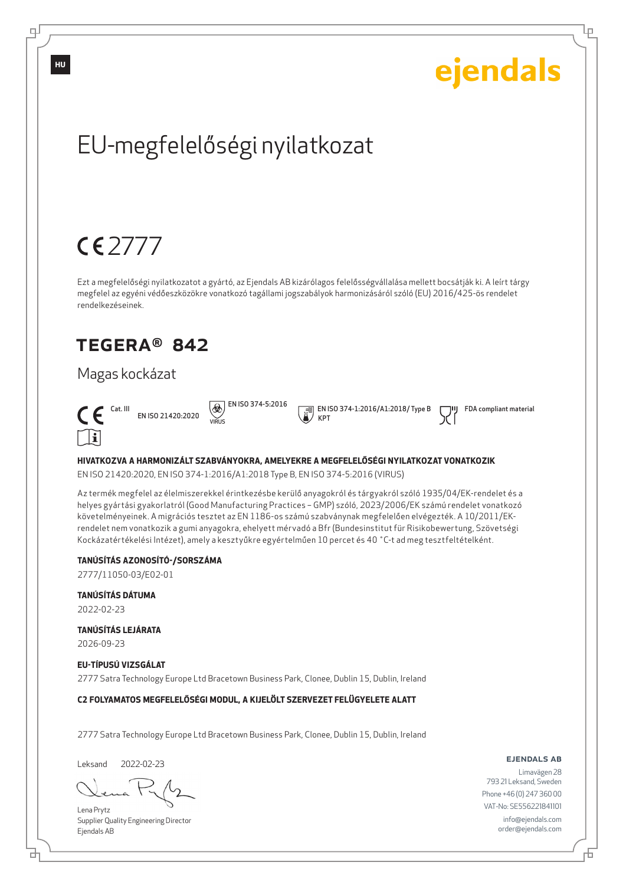Lр

## EU-megfelelőségi nyilatkozat

## $CE$

Ezt a megfelelőségi nyilatkozatot a gyártó, az Ejendals AB kizárólagos felelősségvállalása mellett bocsátják ki. A leírt tárgy megfelel az egyéni védőeszközökre vonatkozó tagállami jogszabályok harmonizásáról szóló (EU) 2016/425-ös rendelet rendelkezéseinek.

### TEGERA® 842

### Magas kockázat

Cat. III



EN ISO 21420:2020 VIRUS

 $\Theta$  EN ISO 374-5:2016

 EN ISO 374-1:2016/A1:2018/ Type B KPT

FDA compliant material

#### **HIVATKOZVA A HARMONIZÁLT SZABVÁNYOKRA, AMELYEKRE A MEGFELELŐSÉGI NYILATKOZAT VONATKOZIK**

EN ISO 21420:2020, EN ISO 374-1:2016/A1:2018 Type B, EN ISO 374-5:2016 (VIRUS)

Az termék megfelel az élelmiszerekkel érintkezésbe kerülő anyagokról és tárgyakról szóló 1935/04/EK-rendelet és a helyes gyártási gyakorlatról (Good Manufacturing Practices – GMP) szóló, 2023/2006/EK számú rendelet vonatkozó követelményeinek. A migrációs tesztet az EN 1186-os számú szabványnak megfelelően elvégezték. A 10/2011/EKrendelet nem vonatkozik a gumi anyagokra, ehelyett mérvadó a Bfr (Bundesinstitut für Risikobewertung, Szövetségi Kockázatértékelési Intézet), amely a kesztyűkre egyértelműen 10 percet és 40 ˚C-t ad meg tesztfeltételként.

#### **TANÚSÍTÁS AZONOSÍTÓ-/SORSZÁMA**

2777/11050-03/E02-01

**TANÚSÍTÁS DÁTUMA**

2022-02-23

#### **TANÚSÍTÁS LEJÁRATA**

2026-09-23

#### **EU-TÍPUSÚ VIZSGÁLAT**

2777 Satra Technology Europe Ltd Bracetown Business Park, Clonee, Dublin 15, Dublin, Ireland

#### **C2 FOLYAMATOS MEGFELELŐSÉGI MODUL, A KIJELÖLT SZERVEZET FELÜGYELETE ALATT**

2777 Satra Technology Europe Ltd Bracetown Business Park, Clonee, Dublin 15, Dublin, Ireland

Leksand 2022-02-23

б

Lena Prytz Supplier Quality Engineering Director Ejendals AB

#### ejendals ab

Б

Limavägen 28 793 21 Leksand, Sweden Phone +46 (0) 247 360 00 VAT-No: SE556221841101 info@ejendals.com order@ejendals.com

**HU**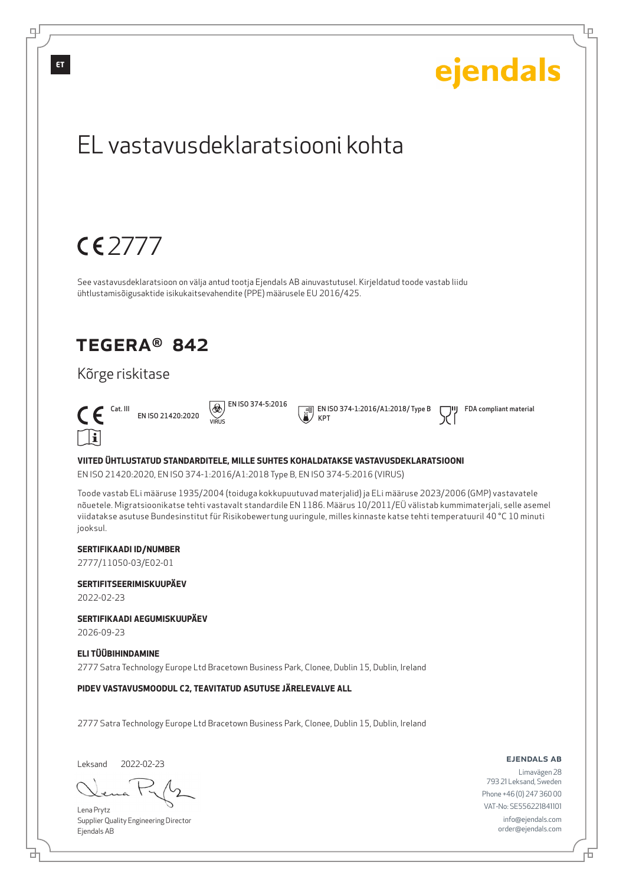

브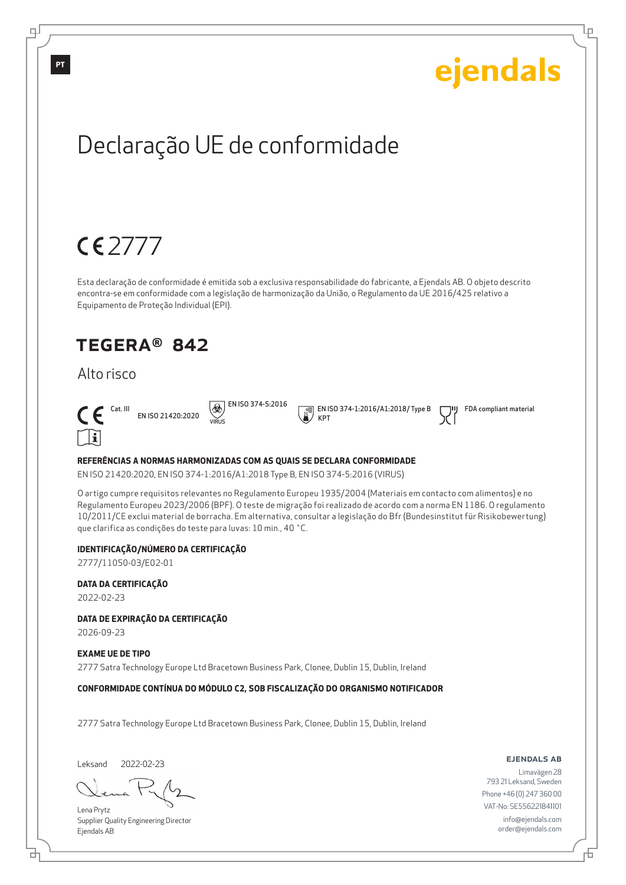Lр

## Declaração UE de conformidade

## 2777

Esta declaração de conformidade é emitida sob a exclusiva responsabilidade do fabricante, a Ejendals AB. O objeto descrito encontra-se em conformidade com a legislação de harmonização da União, o Regulamento da UE 2016/425 relativo a Equipamento de Proteção Individual (EPI).

### TEGERA® 842

### Alto risco



EN ISO 21420:2020 VIRUS

 $\circledR$  EN ISO 374-5:2016

 EN ISO 374-1:2016/A1:2018/ Type B KPT

FDA compliant material

#### **REFERÊNCIAS A NORMAS HARMONIZADAS COM AS QUAIS SE DECLARA CONFORMIDADE**

EN ISO 21420:2020, EN ISO 374-1:2016/A1:2018 Type B, EN ISO 374-5:2016 (VIRUS)

O artigo cumpre requisitos relevantes no Regulamento Europeu 1935/2004 (Materiais em contacto com alimentos) e no Regulamento Europeu 2023/2006 (BPF). O teste de migração foi realizado de acordo com a norma EN 1186. O regulamento 10/2011/CE exclui material de borracha. Em alternativa, consultar a legislação do Bfr (Bundesinstitut für Risikobewertung) que clarifica as condições do teste para luvas: 10 min., 40 ˚C.

#### **IDENTIFICAÇÃO/NÚMERO DA CERTIFICAÇÃO**

2777/11050-03/E02-01

#### **DATA DA CERTIFICAÇÃO**

2022-02-23

**DATA DE EXPIRAÇÃO DA CERTIFICAÇÃO**

2026-09-23

#### **EXAME UE DE TIPO**

2777 Satra Technology Europe Ltd Bracetown Business Park, Clonee, Dublin 15, Dublin, Ireland

#### **CONFORMIDADE CONTÍNUA DO MÓDULO C2, SOB FISCALIZAÇÃO DO ORGANISMO NOTIFICADOR**

2777 Satra Technology Europe Ltd Bracetown Business Park, Clonee, Dublin 15, Dublin, Ireland

Leksand 2022-02-23

б

Lena Prytz Supplier Quality Engineering Director Ejendals AB

#### ejendals ab

Б

Limavägen 28 793 21 Leksand, Sweden Phone +46 (0) 247 360 00 VAT-No: SE556221841101 info@ejendals.com order@ejendals.com

டி

**PT**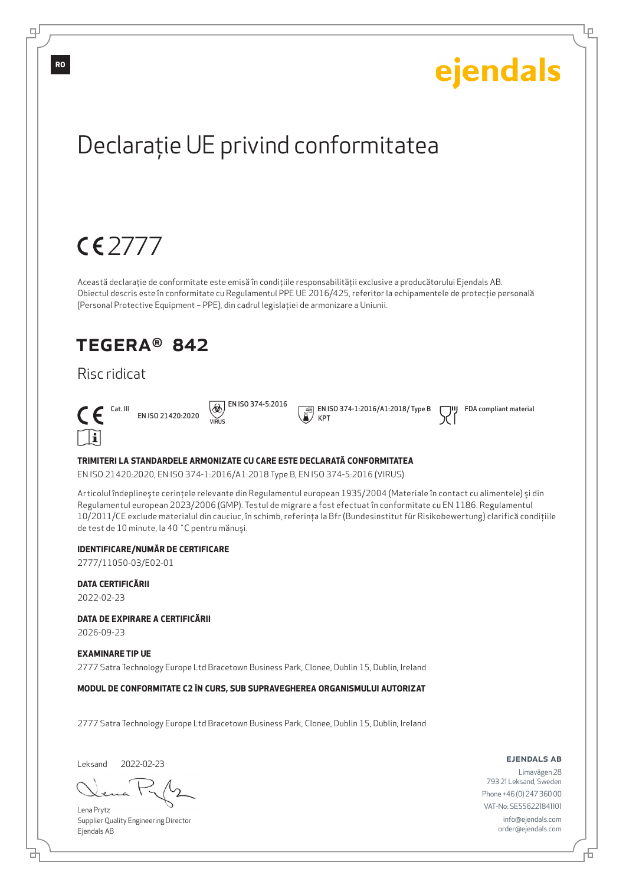Lр

## Declaraţie UE privind conformitatea

## 2777

Această declaraţie de conformitate este emisă în condiţiile responsabilităţii exclusive a producătorului Ejendals AB. Obiectul descris este în conformitate cu Regulamentul PPE UE 2016/425, referitor la echipamentele de protecţie personală (Personal Protective Equipment – PPE), din cadrul legislaţiei de armonizare a Uniunii.

### TEGERA® 842

### Risc ridicat



EN ISO 21420:2020 VIRUS

 $\circledR$  EN ISO 374-5:2016

 EN ISO 374-1:2016/A1:2018/ Type B KPT

FDA compliant material

#### **TRIMITERI LA STANDARDELE ARMONIZATE CU CARE ESTE DECLARATĂ CONFORMITATEA**

EN ISO 21420:2020, EN ISO 374-1:2016/A1:2018 Type B, EN ISO 374-5:2016 (VIRUS)

Articolul îndeplineşte cerinţele relevante din Regulamentul european 1935/2004 (Materiale în contact cu alimentele) şi din Regulamentul european 2023/2006 (GMP). Testul de migrare a fost efectuat în conformitate cu EN 1186. Regulamentul 10/2011/CE exclude materialul din cauciuc, în schimb, referinţa la Bfr (Bundesinstitut für Risikobewertung) clarifică condiţiile de test de 10 minute, la 40 ˚C pentru mănuşi.

#### **IDENTIFICARE/NUMĂR DE CERTIFICARE**

2777/11050-03/E02-01

**DATA CERTIFICĂRII**

2022-02-23

**DATA DE EXPIRARE A CERTIFICĂRII**

2026-09-23

#### **EXAMINARE TIP UE**

2777 Satra Technology Europe Ltd Bracetown Business Park, Clonee, Dublin 15, Dublin, Ireland

**MODUL DE CONFORMITATE C2 ÎN CURS, SUB SUPRAVEGHEREA ORGANISMULUI AUTORIZAT**

2777 Satra Technology Europe Ltd Bracetown Business Park, Clonee, Dublin 15, Dublin, Ireland

Leksand 2022-02-23

б

Lena Prytz Supplier Quality Engineering Director Ejendals AB

#### ejendals ab

Б

Limavägen 28 793 21 Leksand, Sweden Phone +46 (0) 247 360 00 VAT-No: SE556221841101 info@ejendals.com order@ejendals.com

டி

**RO**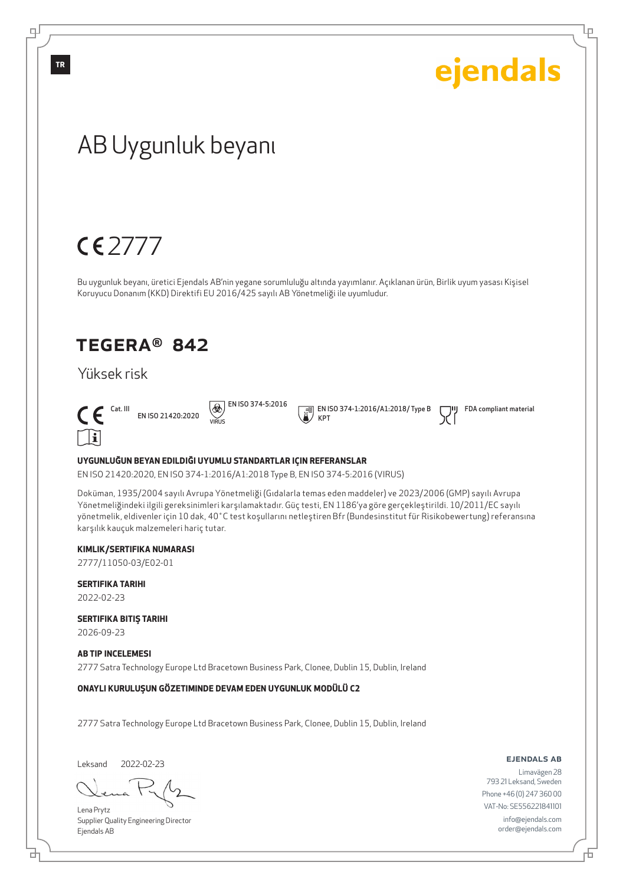Lр

## AB Uygunluk beyanı

## 2777

Bu uygunluk beyanı, üretici Ejendals AB'nin yegane sorumluluğu altında yayımlanır. Açıklanan ürün, Birlik uyum yasası Kişisel Koruyucu Donanım (KKD) Direktifi EU 2016/425 sayılı AB Yönetmeliği ile uyumludur.

### TEGERA® 842

### Yüksek risk



EN ISO 21420:2020 VIRUS

 $\circledR$  EN ISO 374-5:2016

 EN ISO 374-1:2016/A1:2018/ Type B KPT

FDA compliant material

#### **UYGUNLUĞUN BEYAN EDILDIĞI UYUMLU STANDARTLAR IÇIN REFERANSLAR**

EN ISO 21420:2020, EN ISO 374-1:2016/A1:2018 Type B, EN ISO 374-5:2016 (VIRUS)

Doküman, 1935/2004 sayılı Avrupa Yönetmeliği (Gıdalarla temas eden maddeler) ve 2023/2006 (GMP) sayılı Avrupa Yönetmeliğindeki ilgili gereksinimleri karşılamaktadır. Güç testi, EN 1186'ya göre gerçekleştirildi. 10/2011/EC sayılı yönetmelik, eldivenler için 10 dak, 40˚C test koşullarını netleştiren Bfr (Bundesinstitut für Risikobewertung) referansına karşılık kauçuk malzemeleri hariç tutar.

#### **KIMLIK/SERTIFIKA NUMARASI**

2777/11050-03/E02-01

**SERTIFIKA TARIHI** 2022-02-23

**SERTIFIKA BITIŞ TARIHI**

2026-09-23

#### **AB TIP INCELEMESI**

2777 Satra Technology Europe Ltd Bracetown Business Park, Clonee, Dublin 15, Dublin, Ireland

**ONAYLI KURULUŞUN GÖZETIMINDE DEVAM EDEN UYGUNLUK MODÜLÜ C2**

2777 Satra Technology Europe Ltd Bracetown Business Park, Clonee, Dublin 15, Dublin, Ireland

Leksand 2022-02-23

브

Lena Prytz Supplier Quality Engineering Director Ejendals AB

#### ejendals ab

Б

Limavägen 28 793 21 Leksand, Sweden Phone +46 (0) 247 360 00 VAT-No: SE556221841101 info@ejendals.com order@ejendals.com

**TR**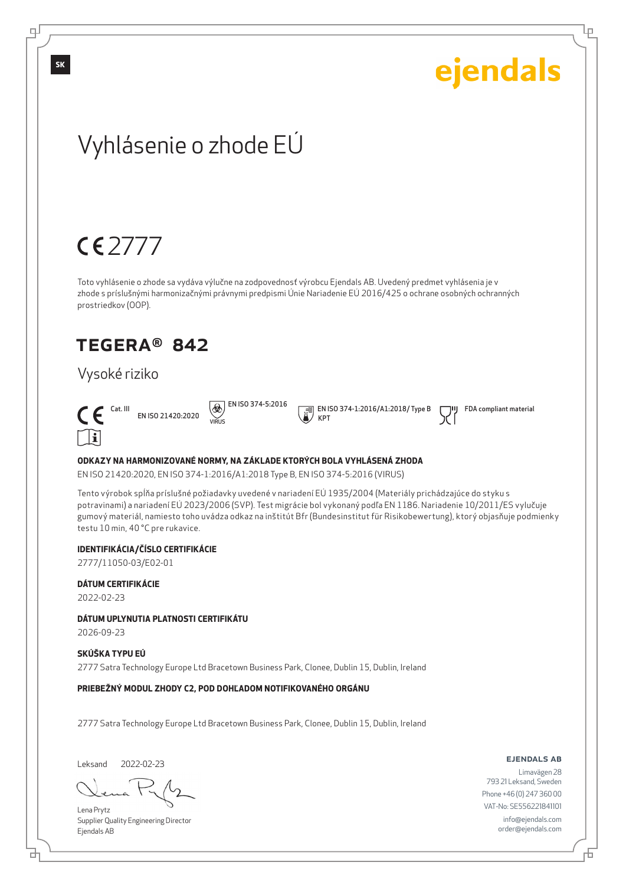Lр

## Vyhlásenie o zhode EÚ

## $CE$

Toto vyhlásenie o zhode sa vydáva výlučne na zodpovednosť výrobcu Ejendals AB. Uvedený predmet vyhlásenia je v zhode s príslušnými harmonizačnými právnymi predpismi Únie Nariadenie EÚ 2016/425 o ochrane osobných ochranných prostriedkov (OOP).

### TEGERA® 842

### Vysoké riziko



EN ISO 21420:2020 VIRUS

 $\circledR$  EN ISO 374-5:2016

 EN ISO 374-1:2016/A1:2018/ Type B KPT

FDA compliant material

#### **ODKAZY NA HARMONIZOVANÉ NORMY, NA ZÁKLADE KTORÝCH BOLA VYHLÁSENÁ ZHODA**

EN ISO 21420:2020, EN ISO 374-1:2016/A1:2018 Type B, EN ISO 374-5:2016 (VIRUS)

Tento výrobok spĺňa príslušné požiadavky uvedené v nariadení EÚ 1935/2004 (Materiály prichádzajúce do styku s potravinami) a nariadení EÚ 2023/2006 (SVP). Test migrácie bol vykonaný podľa EN 1186. Nariadenie 10/2011/ES vylučuje gumový materiál, namiesto toho uvádza odkaz na inštitút Bfr (Bundesinstitut für Risikobewertung), ktorý objasňuje podmienky testu 10 min, 40 °C pre rukavice.

#### **IDENTIFIKÁCIA/ČÍSLO CERTIFIKÁCIE**

2777/11050-03/E02-01

#### **DÁTUM CERTIFIKÁCIE**

2022-02-23

#### **DÁTUM UPLYNUTIA PLATNOSTI CERTIFIKÁTU**

2026-09-23

#### **SKÚŠKA TYPU EÚ**

2777 Satra Technology Europe Ltd Bracetown Business Park, Clonee, Dublin 15, Dublin, Ireland

#### **PRIEBEŽNÝ MODUL ZHODY C2, POD DOHĽADOM NOTIFIKOVANÉHO ORGÁNU**

2777 Satra Technology Europe Ltd Bracetown Business Park, Clonee, Dublin 15, Dublin, Ireland

Leksand 2022-02-23

Lena Prytz Supplier Quality Engineering Director Ejendals AB

#### ejendals ab

Б

Limavägen 28 793 21 Leksand, Sweden Phone +46 (0) 247 360 00 VAT-No: SE556221841101 info@ejendals.com order@ejendals.com

டி

**SK**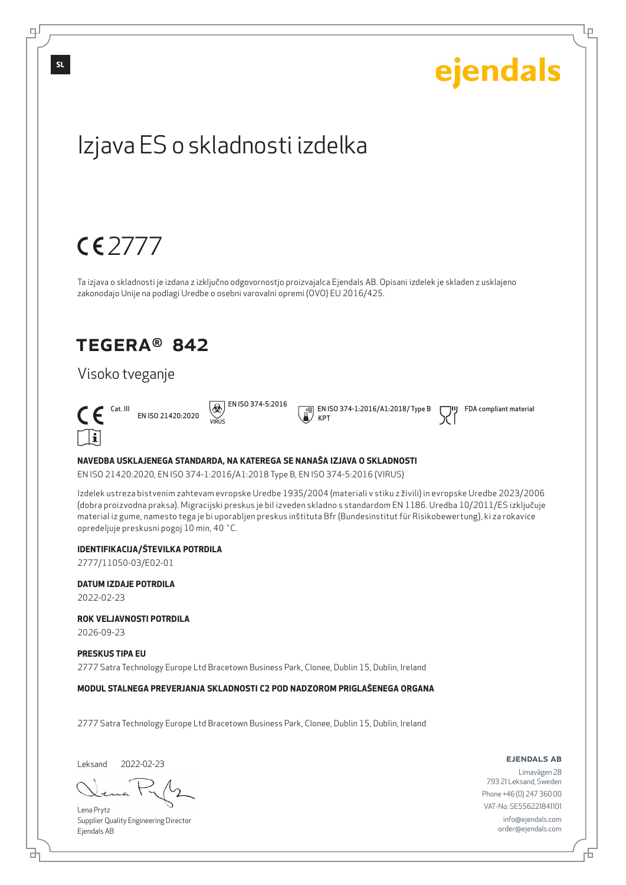# TEGERA® 842 Izjava ES o skladnosti izdelka Ta izjava o skladnosti je izdana z izključno odgovornostjo proizvajalca Ejendals AB. Opisani izdelek je skladen z usklajeno zakonodajo Unije na podlagi Uredbe o osebni varovalni opremi (OVO) EU 2016/425. 2777

### Visoko tveganje



EN ISO 21420:2020 VIRUS

 $\circledR$  EN ISO 374-5:2016

 EN ISO 374-1:2016/A1:2018/ Type B KPT

FDA compliant material

ejendals

Lр

#### **NAVEDBA USKLAJENEGA STANDARDA, NA KATEREGA SE NANAŠA IZJAVA O SKLADNOSTI**

EN ISO 21420:2020, EN ISO 374-1:2016/A1:2018 Type B, EN ISO 374-5:2016 (VIRUS)

Izdelek ustreza bistvenim zahtevam evropske Uredbe 1935/2004 (materiali v stiku z živili) in evropske Uredbe 2023/2006 (dobra proizvodna praksa). Migracijski preskus je bil izveden skladno s standardom EN 1186. Uredba 10/2011/ES izključuje material iz gume, namesto tega je bi uporabljen preskus inštituta Bfr (Bundesinstitut für Risikobewertung), ki za rokavice opredeljuje preskusni pogoj 10 min, 40 ˚C.

#### **IDENTIFIKACIJA/ŠTEVILKA POTRDILA**

2777/11050-03/E02-01

#### **DATUM IZDAJE POTRDILA**

2022-02-23

**ROK VELJAVNOSTI POTRDILA**

2026-09-23

#### **PRESKUS TIPA EU**

2777 Satra Technology Europe Ltd Bracetown Business Park, Clonee, Dublin 15, Dublin, Ireland

**MODUL STALNEGA PREVERJANJA SKLADNOSTI C2 POD NADZOROM PRIGLAŠENEGA ORGANA**

2777 Satra Technology Europe Ltd Bracetown Business Park, Clonee, Dublin 15, Dublin, Ireland

Leksand 2022-02-23

₫

Lena Prytz Supplier Quality Engineering Director Ejendals AB

#### ejendals ab

Б

Limavägen 28 793 21 Leksand, Sweden Phone +46 (0) 247 360 00 VAT-No: SE556221841101 info@ejendals.com order@ejendals.com

цI

**SL**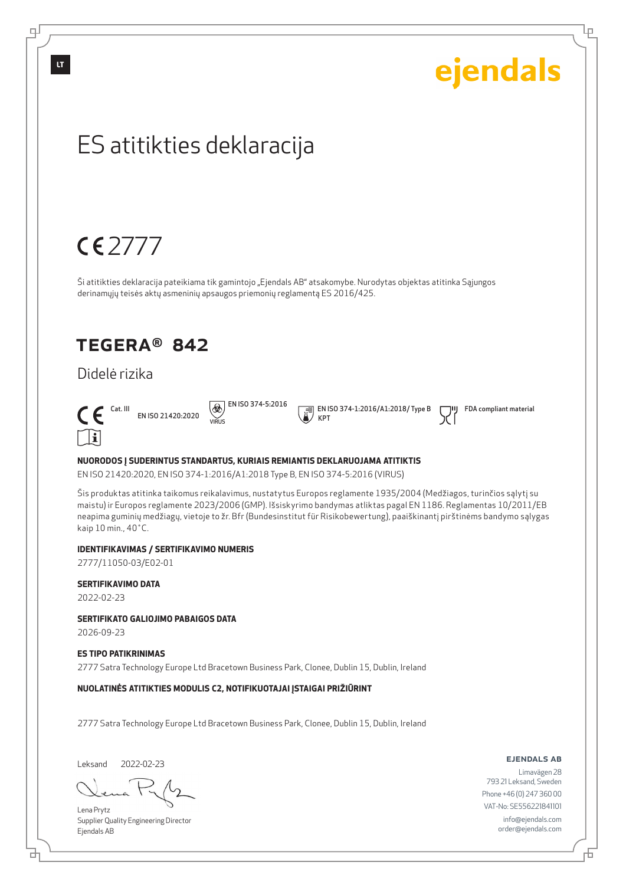Lр

## ES atitikties deklaracija

## 2777

Ši atitikties deklaracija pateikiama tik gamintojo "Ejendals AB" atsakomybe. Nurodytas objektas atitinka Sąjungos derinamųjų teisės aktų asmeninių apsaugos priemonių reglamentą ES 2016/425.

### TEGERA® 842

### Didelė rizika



EN ISO 21420:2020 VIRUS

 $\circledR$  EN ISO 374-5:2016

 EN ISO 374-1:2016/A1:2018/ Type B KPT

FDA compliant material

#### **NUORODOS Į SUDERINTUS STANDARTUS, KURIAIS REMIANTIS DEKLARUOJAMA ATITIKTIS**

EN ISO 21420:2020, EN ISO 374-1:2016/A1:2018 Type B, EN ISO 374-5:2016 (VIRUS)

Šis produktas atitinka taikomus reikalavimus, nustatytus Europos reglamente 1935/2004 (Medžiagos, turinčios sąlytį su maistu) ir Europos reglamente 2023/2006 (GMP). Išsiskyrimo bandymas atliktas pagal EN 1186. Reglamentas 10/2011/EB neapima guminių medžiagų, vietoje to žr. Bfr (Bundesinstitut für Risikobewertung), paaiškinantį pirštinėms bandymo sąlygas kaip 10 min., 40˚C.

#### **IDENTIFIKAVIMAS / SERTIFIKAVIMO NUMERIS**

2777/11050-03/E02-01

#### **SERTIFIKAVIMO DATA**

2022-02-23

#### **SERTIFIKATO GALIOJIMO PABAIGOS DATA**

2026-09-23

#### **ES TIPO PATIKRINIMAS**

2777 Satra Technology Europe Ltd Bracetown Business Park, Clonee, Dublin 15, Dublin, Ireland

#### **NUOLATINĖS ATITIKTIES MODULIS C2, NOTIFIKUOTAJAI ĮSTAIGAI PRIŽIŪRINT**

2777 Satra Technology Europe Ltd Bracetown Business Park, Clonee, Dublin 15, Dublin, Ireland

Leksand 2022-02-23

Lena Prytz Supplier Quality Engineering Director Ejendals AB

#### ejendals ab

Б

Limavägen 28 793 21 Leksand, Sweden Phone +46 (0) 247 360 00 VAT-No: SE556221841101 info@ejendals.com order@ejendals.com

டி

**LT**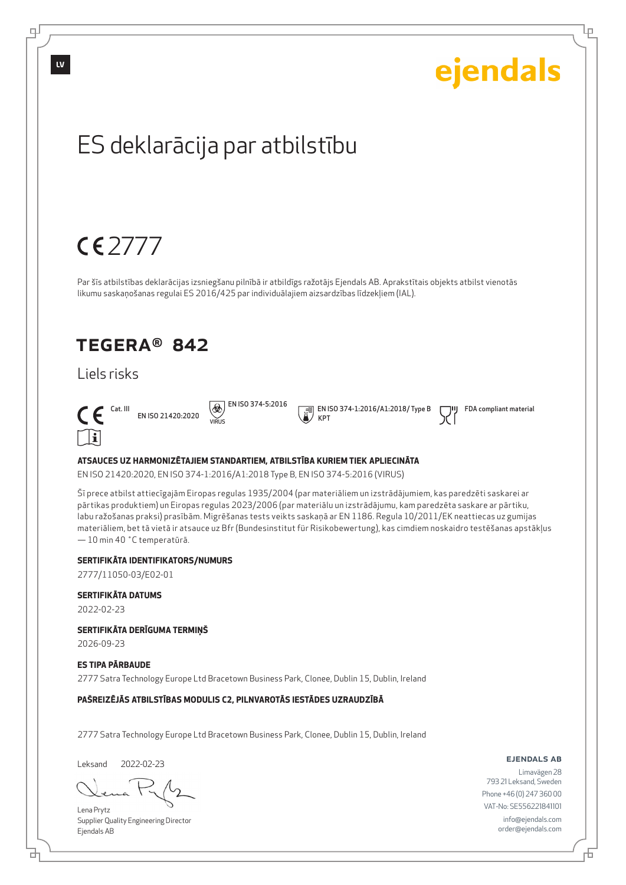

2777/11050-03/E02-01

**SERTIFIKĀTA DATUMS**

2022-02-23

**SERTIFIKĀTA DERĪGUMA TERMIŅŠ**

2026-09-23

**ES TIPA PĀRBAUDE**

2777 Satra Technology Europe Ltd Bracetown Business Park, Clonee, Dublin 15, Dublin, Ireland

**PAŠREIZĒJĀS ATBILSTĪBAS MODULIS C2, PILNVAROTĀS IESTĀDES UZRAUDZĪBĀ**

2777 Satra Technology Europe Ltd Bracetown Business Park, Clonee, Dublin 15, Dublin, Ireland

Leksand 2022-02-23

б

Lena Prytz Supplier Quality Engineering Director Ejendals AB

ejendals ab

Б

Lр

Limavägen 28 793 21 Leksand, Sweden Phone +46 (0) 247 360 00 VAT-No: SE556221841101 info@ejendals.com order@ejendals.com

டி

**LV**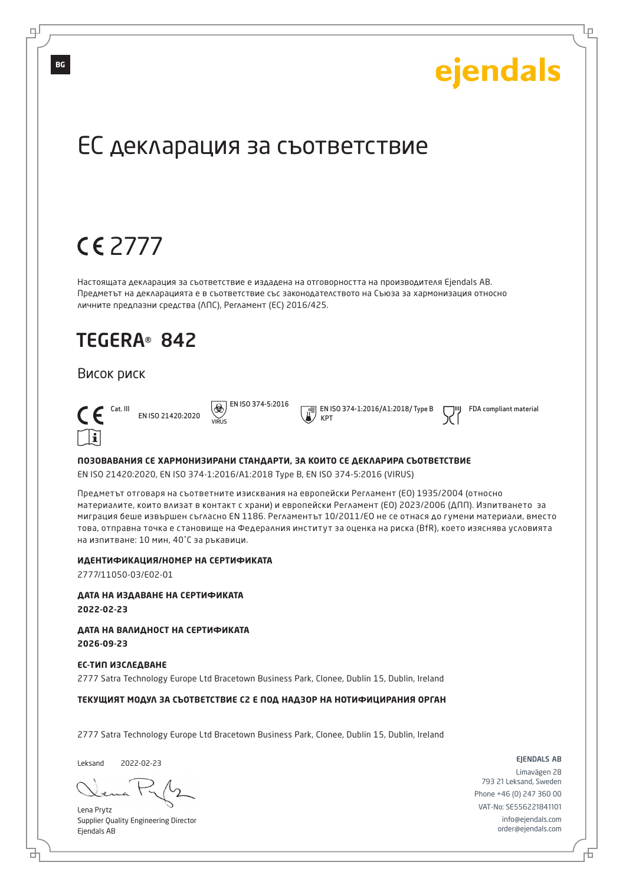Lр

## ЕС декларация за съответствие

## 2777

Настоящата декларация за съответствие е издадена на отговорността на производителя Ejendals AB. Предметът на декларацията е в съответствие със законодателството на Съюза за хармонизация относно личните предпазни средства (ЛПС), Регламент (ЕС) 2016/425.

### TEGERA® 842

#### Висок риск



EN ISO 21420:2020 VIRUS

 $\overline{\bigcircledast}$  EN ISO 374-5:2016

 EN ISO 374-1:2016/A1:2018/ Type B KPT

FDA compliant material

#### **ПОЗОВАВАНИЯ СЕ ХАРМОНИЗИРАНИ СТАНДАРТИ, ЗА КОИТО СЕ ДЕКЛАРИРА СЪОТВЕТСТВИЕ**

EN ISO 21420:2020, EN ISO 374-1:2016/A1:2018 Type B, EN ISO 374-5:2016 (VIRUS)

Предметът отговаря на съответните изисквания на европейски Регламент (ЕО) 1935/2004 (относно материалите, които влизат в контакт с храни) и европейски Регламент (ЕО) 2023/2006 (ДПП). Изпитването за миграция беше извършен съгласно EN 1186. Регламентът 10/2011/ЕО не се отнася до гумени материали, вместо това, отправна точка е становище на Федералния институт за оценка на рискa (BfR), което изяснява условията на изпитване: 10 мин, 40˚C за ръкавици.

#### **ИДЕНТИФИКАЦИЯ/НОМЕР НА СЕРТИФИКАТА**

2777/11050-03/E02-01

**ДАТА НА ИЗДАВАНЕ НА СЕРТИФИКАТА 2022-02-23**

**ДАТА НА ВАЛИДНОСТ НА СЕРТИФИКАТА 2026-09-23**

**ЕС-ТИП ИЗСЛЕДВАНЕ** 2777 Satra Technology Europe Ltd Bracetown Business Park, Clonee, Dublin 15, Dublin, Ireland

#### **ТЕКУЩИЯТ МОДУЛ ЗА СЪОТВЕТСТВИЕ C2 Е ПОД НАДЗОР НА НОТИФИЦИРАНИЯ ОРГАН**

2777 Satra Technology Europe Ltd Bracetown Business Park, Clonee, Dublin 15, Dublin, Ireland

Leksand 2022-02-23

б

Lena Prytz Supplier Quality Engineering Director Ejendals AB

ejendals ab

Б

Limavägen 28 793 21 Leksand, Sweden Phone +46 (0) 247 360 00 VAT-No: SE556221841101 info@ejendals.com order@ejendals.com

**BG**